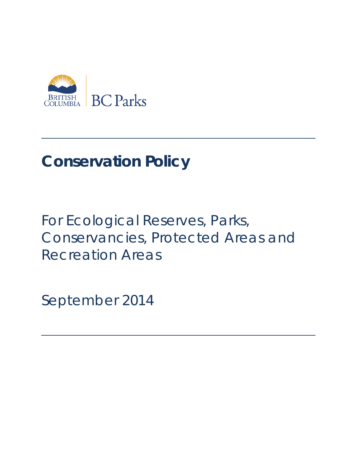

# **Conservation Policy**

# For Ecological Reserves, Parks, Conservancies, Protected Areas and Recreation Areas

September 2014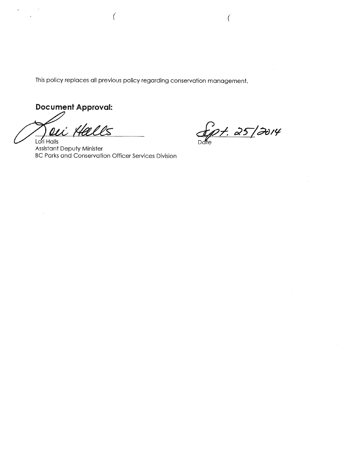This policy replaces all previous policy regarding conservation management.

**Document Approval:** 

 $\sim$ 

 $\mathcal{L}^{\pm}$ 

Lori Halls

 $\sim$ 

Spt. 25/2014

**Assistant Deputy Minister BC Parks and Conservation Officer Services Division**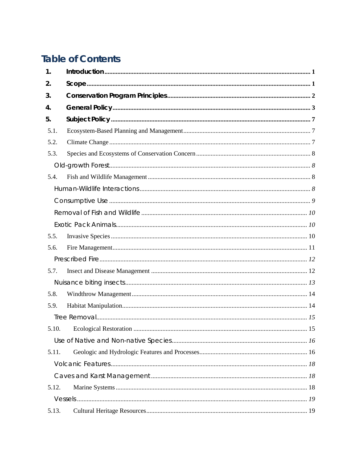# **Table of Contents**

| 1.    |  |  |  |
|-------|--|--|--|
| 2.    |  |  |  |
| 3.    |  |  |  |
| 4.    |  |  |  |
| 5.    |  |  |  |
| 5.1.  |  |  |  |
| 5.2.  |  |  |  |
| 5.3.  |  |  |  |
|       |  |  |  |
| 5.4.  |  |  |  |
|       |  |  |  |
|       |  |  |  |
|       |  |  |  |
|       |  |  |  |
| 5.5.  |  |  |  |
| 5.6.  |  |  |  |
|       |  |  |  |
| 5.7.  |  |  |  |
|       |  |  |  |
| 5.8.  |  |  |  |
| 5.9.  |  |  |  |
|       |  |  |  |
|       |  |  |  |
|       |  |  |  |
| 5.11. |  |  |  |
|       |  |  |  |
|       |  |  |  |
| 5.12. |  |  |  |
|       |  |  |  |
| 5.13. |  |  |  |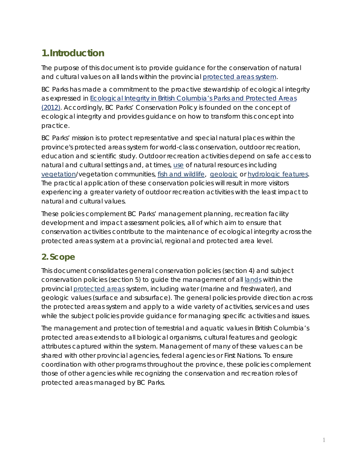# <span id="page-5-0"></span>**1.Introduction**

The purpose of this document is to provide guidance for the conservation of natural and cultural values on all lands within the provincial [protected areas system.](#page-32-0)

BC Parks has made a commitment to the proactive stewardship of ecological integrity as expressed in *[Ecological Integrity in British Columbia's Parks and Protected Areas](http://www.env.gov.bc.ca/bcparks/conserve/ecological-integrity-def-and-perf-indicators.pdf)  [\(2012\)](http://www.env.gov.bc.ca/bcparks/conserve/ecological-integrity-def-and-perf-indicators.pdf)*. Accordingly, BC Parks' Conservation Policy is founded on the concept of ecological integrity and provides guidance on how to transform this concept into practice.

BC Parks' mission is to protect representative and special natural places within the province's protected areas system for world-class conservation, outdoor recreation, education and scientific study. Outdoor recreation activities depend on safe access to natural and cultural settings and, at times, [use](#page-33-0) of natural resources including [vegetation/](#page-33-1)vegetation communities, [fish and wildlife,](#page-29-0) [geologic](#page-30-0) or [hydrologic features.](#page-30-1) The practical application of these conservation policies will result in more visitors experiencing a greater variety of outdoor recreation activities with the least impact to natural and cultural values.

These policies complement BC Parks' management planning, recreation facility development and impact assessment policies, all of which aim to ensure that conservation activities contribute to the maintenance of ecological integrity across the protected areas system at a provincial, regional and protected area level.

# <span id="page-5-1"></span>**2. Scope**

This document consolidates general conservation policies (section 4) and subject conservation policies (section 5) to guide the management of all [lands](#page-30-2) within the provincial [protected areas](#page-31-0) system, including water (marine and freshwater), and geologic values (surface and subsurface). The general policies provide direction across the protected areas system and apply to a wide variety of activities, services and uses while the subject policies provide guidance for managing specific activities and issues.

The management and protection of terrestrial and aquatic values in British Columbia's protected areas extends to all biological organisms, cultural features and geologic attributes captured within the system. Management of many of these values can be shared with other provincial agencies, federal agencies or First Nations. To ensure coordination with other programs throughout the province, these policies complement those of other agencies while recognizing the conservation and recreation roles of protected areas managed by BC Parks.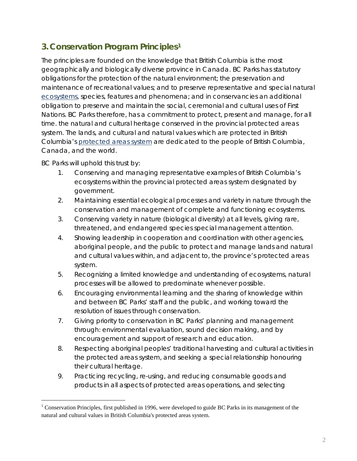# <span id="page-6-0"></span>**3. Conservation Program Principles[1](#page-6-1)**

The principles are founded on the knowledge that British Columbia is the most geographically and biologically diverse province in Canada. BC Parks has statutory obligations for the protection of the natural environment; the preservation and maintenance of recreational values; and to preserve representative and special natural [ecosystems,](#page-29-1) species, features and phenomena; and in conservancies an additional obligation to preserve and maintain the social, ceremonial and cultural uses of First Nations. BC Parks therefore, has a commitment to protect, present and manage, for all time. the natural and cultural heritage conserved in the provincial protected areas system. The lands, and cultural and natural values which are protected in British Columbia's [protected areas system](#page-32-0) are dedicated to the people of British Columbia, Canada, and the world.

BC Parks will uphold this trust by:

- 1. Conserving and managing representative examples of British Columbia's ecosystems within the provincial protected areas system designated by government.
- 2. Maintaining essential ecological processes and variety in nature through the conservation and management of complete and functioning ecosystems.
- 3. Conserving variety in nature (biological diversity) at all levels, giving rare, threatened, and endangered species special management attention.
- 4. Showing leadership in cooperation and coordination with other agencies, aboriginal people, and the public to protect and manage lands and natural and cultural values within, and adjacent to, the province's protected areas system.
- 5. Recognizing a limited knowledge and understanding of ecosystems, natural processes will be allowed to predominate whenever possible.
- 6. Encouraging environmental learning and the sharing of knowledge within and between BC Parks' staff and the public, and working toward the resolution of issues through conservation.
- 7. Giving priority to conservation in BC Parks' planning and management through: environmental evaluation, sound decision making, and by encouragement and support of research and education.
- 8. Respecting aboriginal peoples' traditional harvesting and cultural activities in the protected areas system, and seeking a special relationship honouring their cultural heritage.
- 9. Practicing recycling, re-using, and reducing consumable goods and products in all aspects of protected areas operations, and selecting

<span id="page-6-1"></span><sup>&</sup>lt;sup>1</sup> Conservation Principles, first published in 1996, were developed to guide BC Parks in its management of the natural and cultural values in British Columbia's protected areas system.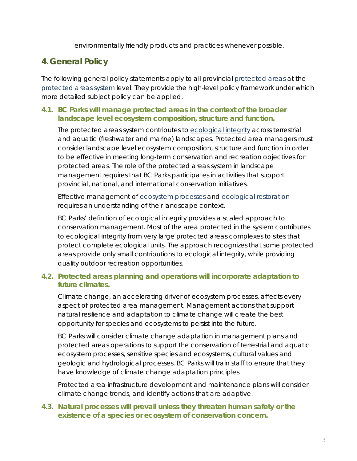environmentally friendly products and practices whenever possible.

# <span id="page-7-0"></span>**4. General Policy**

The following general policy statements apply to all provincial [protected areas](#page-31-0) at the [protected areas system](#page-32-0) level. They provide the high-level policy framework under which more detailed subject policy can be applied.

#### **4.1. BC Parks will manage protected areas in the context of the broader landscape level ecosystem composition, structure and function.**

The protected areas system contributes to [ecological integrity](http://www.env.gov.bc.ca/bcparks/conserve/ecological-integrity-def-and-perf-indicators.pdf) across terrestrial and aquatic (freshwater and marine) landscapes. Protected area managers must consider landscape level ecosystem composition, structure and function in order to be effective in meeting long-term conservation and recreation objectives for protected areas. The role of the protected areas system in landscape management requires that BC Parks participates in activities that support provincial, national, and international conservation initiatives.

Effective management of [ecosystem processes](#page-29-2) and [ecological restoration](#page-29-3) requires an understanding of their landscape context.

BC Parks' definition of ecological integrity provides a scaled approach to conservation management. Most of the area protected in the system contributes to ecological integrity from very large protected areas complexes to sites that protect complete ecological units. The approach recognizes that some protected areas provide only small contributions to ecological integrity, while providing quality outdoor recreation opportunities.

#### **4.2. Protected areas planning and operations will incorporate adaptation to future climates.**

Climate change, an accelerating driver of ecosystem processes, affects every aspect of protected area management. Management actions that support natural [resilience](#page-32-1) and adaptation to climate change will create the best opportunity for species and ecosystems to persist into the future.

BC Parks will consider climate change adaptation in management plans and protected areas operations to support the conservation of terrestrial and aquatic ecosystem processes, sensitive species and ecosystems, cultural values and geologic and hydrological processes. BC Parks will train staff to ensure that they have knowledge of climate change adaptation principles.

Protected area infrastructure development and maintenance plans will consider climate change trends, and identify actions that are adaptive.

#### **4.3. Natural processes will prevail unless they threaten human safety or the existence of a [species or ecosystem of conservation concern.](#page-32-2)**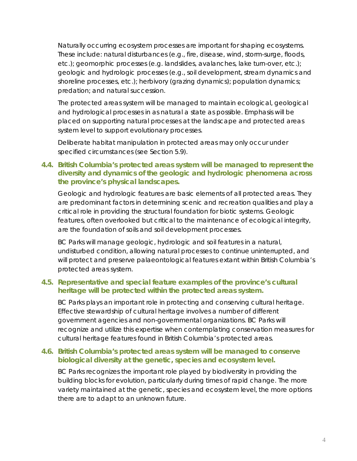Naturally occurring ecosystem processes are important for shaping ecosystems. These include: natural disturbances (e.g., fire, disease, wind, storm-surge, floods, etc.); geomorphic processes (e.g. landslides, avalanches, lake turn-over, etc.); geologic and hydrologic processes (e.g., soil development, stream dynamics and shoreline processes, etc.); herbivory (grazing dynamics); population dynamics; predation; and natural [succession.](#page-32-3)

The protected areas system will be managed to maintain ecological, geological and hydrological processes in as natural a state as possible. Emphasis will be placed on supporting natural processes at the [landscape](#page-30-2) and [protected areas](#page-32-0)  [system](#page-32-0) level to support evolutionary processes.

Deliberate habitat manipulation in [protected areas](#page-31-0) may only occur under specified circumstances [\(see Section 5.9\)](#page-18-1).

#### **4.4. British Columbia's protected areas system will be managed to represent the diversity and dynamics of the geologic and hydrologic phenomena across the province's physical landscapes.**

[Geologic](#page-30-0) and [hydrologic features](#page-30-1) are basic elements of all protected areas. They are predominant factors in determining scenic and recreation qualities and play a critical role in providing the structural foundation for biotic systems. [Geologic](#page-30-0)  [features,](#page-30-0) often overlooked but critical to the maintenance of ecological integrity, are the foundation of [soils](#page-32-4) and soil development processes.

BC Parks will manage geologic, hydrologic and soil features in a natural, undisturbed condition, allowing natural processes to continue uninterrupted, and will protect and preserve [palaeontological features](#page-31-1) extant within British Columbia's protected areas system.

#### **4.5. Representative and special feature examples of the province's cultural heritage will be protected within the protected areas system.**

BC Parks plays an important role in protecting and conserving cultural heritage. Effective stewardship of cultural heritage involves a number of different government agencies and non-governmental organizations. BC Parks will recognize and utilize this expertise when contemplating conservation measures for cultural heritage features found in British Columbia's protected areas.

#### **4.6. British Columbia's protected areas system will be managed to conserve [biological diversity](#page-28-1) at the genetic, species and ecosystem level.**

BC Parks recognizes the important role played by biodiversity in providing the building blocks for evolution, particularly during times of rapid change. The more variety maintained at the genetic, species and ecosystem level, the more options there are to adapt to an unknown future.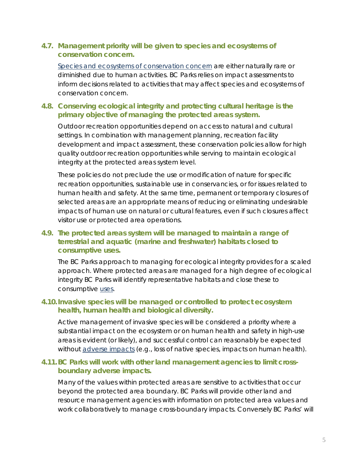#### **4.7. Management priority will be given to [species and ecosystems of](#page-32-2)  [conservation concern.](#page-32-2)**

[Species and ecosystems of conservation concern](#page-32-2) are either naturally rare or diminished due to human activities. BC Parks relies on impact assessments to inform decisions related to activities that may affect species and ecosystems of conservation concern.

#### **4.8. Conserving ecological integrity and protecting cultural heritage is the primary objective of managing the protected areas system.**

Outdoor recreation opportunities depend on access to natural and cultural settings. In combination with management planning, recreation facility development and impact assessment, these conservation policies allow for high quality outdoor recreation opportunities while serving to maintain ecological integrity at the protected areas system level.

These policies do not preclude the use or modification of nature for specific recreation opportunities, sustainable use in conservancies, or for issues related to human health and safety. At the same time, permanent or temporary closures of selected areas are an appropriate means of reducing or eliminating undesirable impacts of human use on natural or cultural features, even if such closures affect visitor use or protected area operations.

#### **4.9. The [protected areas system](#page-32-0) will be managed to maintain a range of terrestrial and aquatic (marine and freshwater) habitats closed to consumptive uses.**

The BC Parks approach to managing for ecological integrity provides for a scaled approach. Where protected areas are managed for a high degree of ecological integrity BC Parks will identify representative habitats and close these to consumptive [uses.](#page-33-0)

#### **4.10.Invasive species will be managed or controlled to protect ecosystem health, human health and biological diversity.**

Active management of invasive species will be considered a priority where a substantial impact on the ecosystem or on human health and safety in high-use areas is evident (or likely), and successful control can reasonably be expected without [adverse](#page-28-2) impacts (e.g., loss of native species, impacts on human health).

#### **4.11.BC Parks will work with other land management agencies to limit crossboundary adverse impacts.**

Many of the values within protected areas are sensitive to activities that occur beyond the protected area boundary. BC Parks will provide other land and resource management agencies with information on protected area values and work collaboratively to manage cross-boundary impacts. Conversely BC Parks' will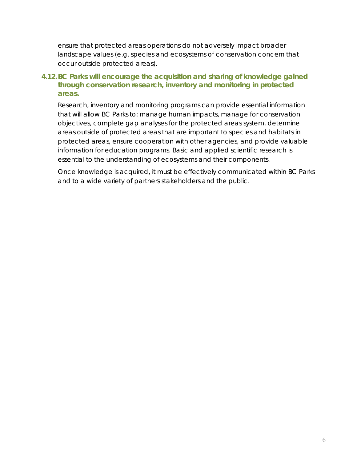ensure that protected areas operations do not adversely impact broader landscape values (e.g. species and ecosystems of conservation concern that occur outside protected areas).

#### **4.12.BC Parks will encourage the acquisition and sharing of [knowledge](#page-30-3) gained through conservation research, inventory and monitoring in protected areas.**

Research, [inventory](#page-30-4) and [monitoring](#page-31-2) programs can provide essential information that will allow BC Parks to: manage human impacts, manage for conservation objectives, complete gap analyses for the protected areas system, determine areas outside of [protected areas](#page-31-0) that are important to species and habitats in protected areas, ensure cooperation with other agencies, and provide valuable information for education programs. Basic and applied scientific research is essential to the understanding of ecosystems and their components.

Once knowledge is acquired, it must be effectively communicated within BC Parks and to a wide variety of partners stakeholders and the public.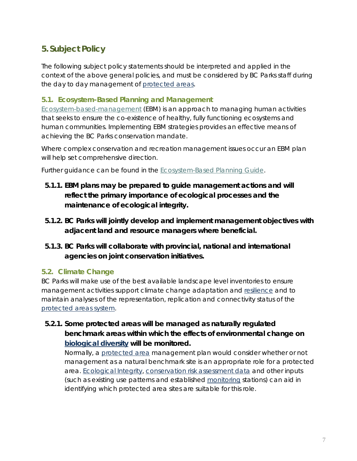# <span id="page-11-0"></span>**5. Subject Policy**

The following subject policy statements should be interpreted and applied in the context of the above general policies, and must be considered by BC Parks staff during the day to day management of [protected areas.](#page-31-0)

#### <span id="page-11-1"></span>**5.1. Ecosystem-Based Planning and Management**

[Ecosystem-based-management](#page-29-4) (EBM) is an approach to managing human activities that seeks to ensure the co-existence of healthy, fully functioning ecosystems and human communities. Implementing EBM strategies provides an effective means of achieving the BC Parks conservation mandate.

Where complex conservation and recreation management issues occur an EBM plan will help set comprehensive direction.

Further guidance can be found in the [Ecosystem-Based Planning Guide.](http://iwww.env.gov.bc.ca/ppa/planning/heritage/docs/FINAL_BCParks_EP_Assessment_March22.pdf)

- **5.1.1. EBM plans may be prepared to guide management actions and will reflect the primary importance of ecological processes and the maintenance of ecological integrity.**
- **5.1.2. BC Parks will jointly develop and implement management objectives with adjacent land and resource managers where beneficial.**
- **5.1.3. BC Parks will collaborate with provincial, national and international agencies on joint conservation initiatives.**

# <span id="page-11-2"></span>**5.2. Climate Change**

BC Parks will make use of the best available landscape level inventories to ensure management activities support climate change adaptation and [resilience](#page-32-1) and to maintain analyses of the representation, replication and connectivity status of the [protected areas system.](#page-32-0)

**5.2.1. Some protected areas will be managed as naturally regulated benchmark areas within which the effects of environmental change on [biological diversity](#page-28-1) will be monitored.**

Normally, a [protected area](#page-31-0) management plan would consider whether or not management as a natural benchmark site is an appropriate role for a protected area. [Ecological Integrity,](http://www.env.gov.bc.ca/bcparks/conserve/ecological-integrity-def-and-perf-indicators.pdf) [conservation risk assessment](#page-28-3) data and other inputs (such as existing use patterns and established [monitoring](#page-31-2) stations) can aid in identifying which protected area sites are suitable for this role.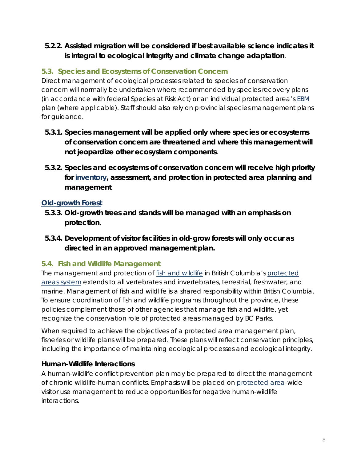### **5.2.2. Assisted migration will be considered if best available science indicates it is integral to ecological integrity and climate change adaptation**.

# <span id="page-12-0"></span>**5.3. Species and Ecosystems of Conservation Concern**

Direct management of ecological processes related to species of conservation concern will normally be undertaken where recommended by species recovery plans (in accordance with federal *Species at Risk Act*) or an individual protected area's [EBM](#page-29-4) plan (where applicable). Staff should also rely on provincial species management plans for guidance.

- **5.3.1. Species management will be applied only where species or ecosystems of conservation concern are threatened and where this management will not jeopardize other ecosystem components**.
- **5.3.2. Species and ecosystems of conservation concern will receive high priority for [inventory,](#page-30-4) assessment, and protection in protected area planning and management**.

# <span id="page-12-1"></span>*[Old-growth Forest](#page-31-3)*

- **5.3.3. Old-growth trees and stands will be managed with an emphasis on protection**.
- **5.3.4. Development of visitor facilities in old-grow forests will only occur as directed in an approved management plan.**

# <span id="page-12-2"></span>**5.4. Fish and Wildlife Management**

The management and protection of [fish and wildlife](#page-29-0) in British Columbia's protected [areas system](#page-32-0) extends to all vertebrates and invertebrates, terrestrial, freshwater, and marine. Management of fish and wildlife is a shared responsibility within British Columbia. To ensure coordination of fish and wildlife programs throughout the province, these policies complement those of other agencies that manage fish and wildlife, yet recognize the conservation role of protected areas managed by BC Parks.

When required to achieve the objectives of a protected area management plan, fisheries or wildlife plans will be prepared. These plans will reflect conservation principles, including the importance of maintaining ecological processes and ecological integrity.

#### <span id="page-12-3"></span>*Human-Wildlife Interactions*

A human-wildlife conflict prevention plan may be prepared to direct the management of chronic wildlife-human conflicts. Emphasis will be placed on [protected area-](#page-31-0)wide visitor use management to reduce opportunities for negative human-wildlife interactions.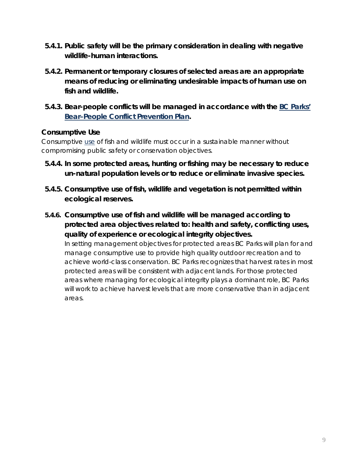- **5.4.1. Public safety will be the primary consideration in dealing with negative wildlife-human interactions.**
- **5.4.2. Permanent or temporary closures of selected areas are an appropriate means of reducing or eliminating undesirable impacts of human [use](#page-33-0) on fish and wildlife.**
- **5.4.3. Bear-people conflicts will be managed in accordance with the [BC Parks'](http://www.env.gov.bc.ca/bcparks/conserve/bearconf.html)  [Bear–People Conflict Prevention Plan.](http://www.env.gov.bc.ca/bcparks/conserve/bearconf.html)**

#### <span id="page-13-0"></span>*Consumptive Use*

Consumptive [use](#page-33-0) of fish and wildlife must occur in a sustainable manner without compromising public safety or conservation objectives.

- **5.4.4. In some protected areas, hunting or fishing may be necessary to reduce un-natural population levels or to reduce or eliminate invasive species.**
- **5.4.5. Consumptive use of fish, wildlife and vegetation is not permitted within ecological reserves.**
- **5.4.6. Consumptive use of fish and wildlife will be managed according to protected area objectives related to: health and safety, conflicting uses, quality of experience or ecological integrity objectives.**

In setting management objectives for protected areas BC Parks will plan for and manage consumptive use to provide high quality outdoor recreation and to achieve world-class conservation. BC Parks recognizes that harvest rates in most protected areas will be consistent with adjacent lands. For those protected areas where managing for ecological integrity plays a dominant role, BC Parks will work to achieve harvest levels that are more conservative than in adjacent areas.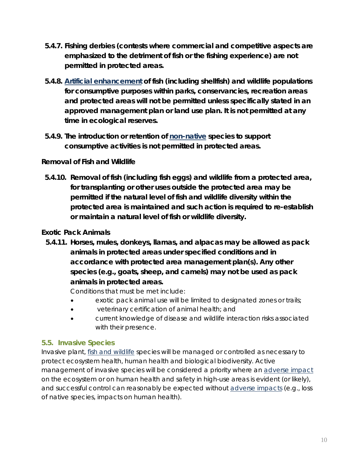- **5.4.7. Fishing derbies (contests where commercial and competitive aspects are emphasized to the detriment of fish or the fishing experience) are not permitted in protected areas.**
- **5.4.8. [Artificial enhancement](#page-28-4) of fish (including shellfish) and wildlife populations for consumptive purposes within parks, conservancies, recreation areas and protected areas will not be permitted unless specifically stated in an approved management plan or land use plan. It is not permitted at any time in ecological reserves.**
- **5.4.9. The introduction or retention of [non-native](#page-31-4) species to support consumptive activities is not permitted in protected areas.**

# <span id="page-14-0"></span>*Removal of Fish and Wildlife*

**5.4.10. Removal of fish (including fish eggs) and wildlife from a protected area, for transplanting or other uses outside the protected area may be permitted if the natural level of fish and wildlife diversity within the [protected area](#page-31-0) is maintained and such action is required to re-establish or maintain a natural level of fish or wildlife diversity.**

## <span id="page-14-1"></span>*Exotic Pack Animals*

**5.4.11. Horses, mules, donkeys, llamas, and alpacas may be allowed as pack animals in protected areas under specified conditions and in accordance with protected area management plan(s). Any other species (e.g., goats, sheep, and camels) may not be used as pack animals in protected areas.**

Conditions that must be met include:

- exotic pack animal use will be limited to designated zones or trails;
- veterinary certification of animal health; and
- current knowledge of disease and wildlife interaction risks associated with their presence.

#### <span id="page-14-2"></span>**5.5. Invasive Species**

Invasive plant, [fish and wildlife](#page-29-0) species will be managed or controlled as necessary to protect ecosystem health, human health and biological biodiversity. Active management of invasive species will be considered a priority where an [adverse impact](#page-28-2) on the ecosystem or on human health and safety in high-use areas is evident (or likely), and successful control can reasonably be expected without [adverse](#page-28-2) impacts (e.g., loss of native species, impacts on human health).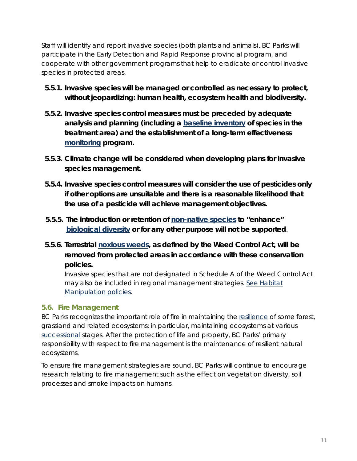Staff will identify and report invasive species (both plants and animals). BC Parks will participate in the Early Detection and Rapid Response provincial program, and cooperate with other government programs that help to eradicate or control invasive species in protected areas.

- **5.5.1. Invasive species will be managed or controlled as necessary to protect, without jeopardizing: human health, ecosystem health and biodiversity.**
- **5.5.2. Invasive species control measures must be preceded by adequate analysis and planning (including a [baseline inventory](#page-28-5) of species in the treatment area) and the establishment of a long-term effectiveness [monitoring](#page-31-2) program.**
- **5.5.3. Climate change will be considered when developing plans for invasive species management.**
- **5.5.4. Invasive species control measures will consider the use of pesticides only if other options are unsuitable and there is a reasonable likelihood that the use of a pesticide will achieve management objectives.**
- **5.5.5. The introduction or retention of [non-native species](#page-31-4) to "enhance" [biological diversity](#page-28-1) or for any other purpose will not be supported**.
- **5.5.6. Terrestrial [noxious weeds,](#page-31-5) as defined by the** *Weed Control Act***, will be removed from protected areas in accordance with these conservation policies.**

Invasive species that are not designated in Schedule A of the *Weed Control Act* may also be included in regional management strategies. [See Habitat](#page-18-1) [Manipulation policies.](#page-18-1)

#### <span id="page-15-0"></span>**5.6. Fire Management**

BC Parks recognizes the important role of fire in maintaining the [resilience](#page-32-1) of some forest, grassland and related ecosystems; in particular, maintaining ecosystems at various [successional](#page-32-3) stages. After the protection of life and property, BC Parks' primary responsibility with respect to fire management is the maintenance of resilient natural ecosystems.

To ensure fire management strategies are sound, BC Parks will continue to encourage research relating to fire management such as the effect on vegetation diversity, soil processes and smoke impacts on humans.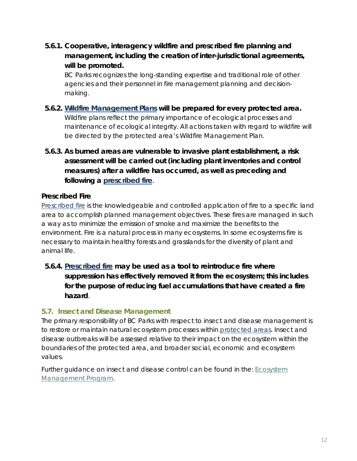**5.6.1. Cooperative, interagency wildfire and prescribed fire planning and management, including the creation of inter-jurisdictional agreements, will be promoted.** 

BC Parks recognizes the long-standing expertise and traditional role of other agencies and their personnel in fire management planning and decisionmaking.

- **5.6.2. [Wildfire Management Plans](#page-33-2) will be prepared for every [protected area.](#page-31-0)** Wildfire plans reflect the primary importance of ecological processes and maintenance of ecological integrity. All actions taken with regard to wildfire will be directed by the protected area's Wildfire Management Plan.
- **5.6.3. As burned areas are vulnerable to invasive plant establishment, a risk assessment will be carried out (including plant inventories and control measures) after a wildfire has occurred, as well as preceding and following a [prescribed fire](#page-31-6)**.

#### <span id="page-16-0"></span>*Prescribed Fire*

[Prescribed fire](#page-31-6) is the knowledgeable and controlled application of fire to a specific land area to accomplish planned management objectives. These fires are managed in such a way as to minimize the emission of smoke and maximize the benefits to the environment. Fire is a natural process in many ecosystems. In some ecosystems fire is necessary to maintain healthy forests and grasslands for the diversity of plant and animal life.

**5.6.4. [Prescribed fire](#page-31-6) may be used as a tool to reintroduce fire where suppression has effectively removed it from the ecosystem; this includes for the purpose of reducing fuel accumulations that have created a fire hazard**.

#### <span id="page-16-1"></span>**5.7. Insect and Disease Management**

The primary responsibility of BC Parks with respect to insect and disease management is to restore or maintain natural ecosystem processes within [protected areas.](#page-31-0) Insect and disease outbreaks will be assessed relative to their impact on the ecosystem within the boundaries of the protected area, and broader social, economic and ecosystem values.

Further guidance on insect and disease control can be found in the: [Ecosystem](http://iwww.env.gov.bc.ca/ppa/planning/heritage/docs/ecomgmt_templates_intro_ouline.pdf)  [Management Program.](http://iwww.env.gov.bc.ca/ppa/planning/heritage/docs/ecomgmt_templates_intro_ouline.pdf)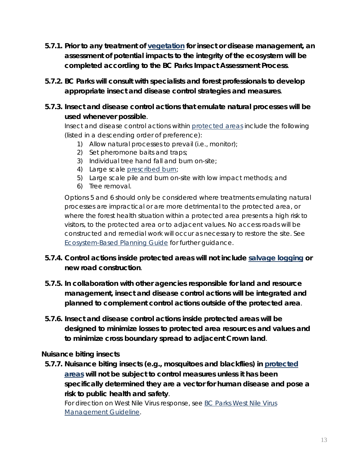- **5.7.1. Prior to any treatment of [vegetation](#page-33-1) for insect or disease management, an assessment of potential impacts to the integrity of the ecosystem will be completed according to the BC Parks Impact Assessment Process**.
- **5.7.2. BC Parks will consult with specialists and forest professionals to develop appropriate insect and disease control strategies and measures**.
- **5.7.3. Insect and disease control actions that emulate natural processes will be used whenever possible**.

Insect and disease control actions within [protected areas](#page-31-0) include the following (listed in a descending order of preference):

- 1) Allow natural processes to prevail (i.e., monitor);
- 2) Set pheromone baits and traps;
- 3) Individual tree hand fall and burn on-site;
- 4) Large scale [prescribed burn;](#page-31-6)
- 5) Large scale pile and burn on-site with low impact methods; and
- 6) Tree removal.

Options 5 and 6 should only be considered where treatments emulating natural processes are impractical or are more detrimental to the protected area, or where the forest health situation within a protected area presents a high risk to visitors, to the protected area or to adjacent values. No access roads will be constructed and remedial work will occur as necessary to restore the site. See [Ecosystem-Based Planning Guide](http://iwww.env.gov.bc.ca/ppa/planning/heritage/docs/ecomgmt_templates_intro_ouline.pdf) for further guidance.

#### **5.7.4. Control actions inside protected areas will not include [salvage logging](#page-32-5) or new road construction**.

- **5.7.5. In collaboration with other agencies responsible for land and resource management, insect and disease control actions will be integrated and planned to complement control actions outside of the protected area**.
- **5.7.6. Insect and disease control actions inside protected areas will be designed to minimize losses to protected area resources and values and to minimize cross boundary spread to adjacent Crown land**.

#### <span id="page-17-0"></span>*Nuisance biting insects*

**5.7.7. Nuisance biting insects (e.g., mosquitoes and blackflies) in [protected](#page-31-0)  [areas](#page-31-0) will not be subject to control measures unless it has been specifically determined they are a vector for human disease and pose a risk to public health and safety**.

For direction on West Nile Virus response, see BC Parks West Nile Virus [Management Guideline.](http://iwww.env.gov.bc.ca/ppa/planning/heritage/west_nile_virus.html)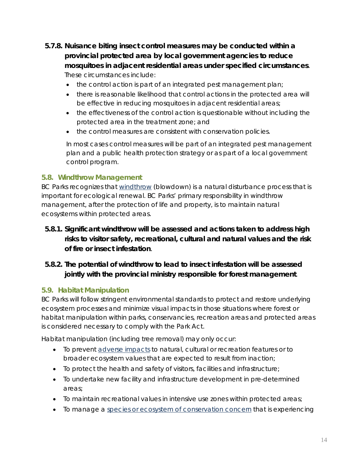# **5.7.8. Nuisance biting insect control measures may be conducted within a provincial protected area by local government agencies to reduce mosquitoes in adjacent residential areas under specified circumstances**. These circumstances include:

- the control action is part of an integrated pest management plan;
- there is reasonable likelihood that control actions in the protected area will be effective in reducing mosquitoes in adjacent residential areas;
- the effectiveness of the control action is questionable without including the protected area in the treatment zone; and
- the control measures are consistent with conservation policies.

In most cases control measures will be part of an integrated pest management plan and a public health protection strategy or as part of a local government control program.

#### <span id="page-18-0"></span>**5.8. Windthrow Management**

BC Parks recognizes that [windthrow](#page-34-0) (blowdown) is a natural disturbance process that is important for ecological renewal. BC Parks' primary responsibility in windthrow management, after the protection of life and property, is to maintain natural ecosystems within protected areas.

**5.8.1. Significant windthrow will be assessed and actions taken to address high risks to visitor safety, recreational, cultural and natural values and the risk of fire or insect infestation**.

# **5.8.2. The potential of windthrow to lead to insect infestation will be assessed jointly with the provincial ministry responsible for forest management**.

# <span id="page-18-1"></span>**5.9. Habitat Manipulation**

BC Parks will follow stringent environmental standards to protect and restore underlying ecosystem processes and minimize visual impacts in those situations where forest or habitat manipulation within parks, conservancies, recreation areas and protected areas is considered necessary to comply with the *Park Act*.

Habitat manipulation (including tree removal) may only occur:

- To prevent [adverse impacts](#page-28-2) to natural, cultural or recreation features or to broader ecosystem values that are expected to result from inaction;
- To protect the health and safety of visitors, facilities and infrastructure;
- To undertake new facility and infrastructure development in pre-determined areas;
- To maintain recreational values in intensive use zones within protected areas;
- To manage a [species or ecosystem of conservation concern](#page-32-2) that is experiencing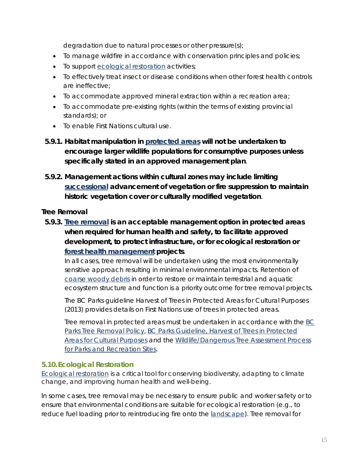degradation due to natural processes or other pressure(s);

- To manage wildfire in accordance with conservation principles and policies;
- To support [ecological restoration](#page-29-3) activities;
- To effectively treat insect or disease conditions when other forest health controls are ineffective;
- To accommodate approved mineral extraction within a recreation area;
- To accommodate pre-existing rights (within the terms of existing provincial standards); or
- To enable First Nations cultural use.
- **5.9.1. Habitat manipulation in [protected areas](#page-31-0) will not be undertaken to encourage larger wildlife populations for consumptive purposes unless specifically stated in an approved management plan**.
- **5.9.2. Management actions within cultural zones may include limiting [successional](#page-32-3) advancement of vegetation or fire suppression to maintain historic vegetation cover or culturally modified vegetation**.

#### <span id="page-19-0"></span>*Tree Removal*

**5.9.3. [Tree removal](#page-33-3) is an acceptable management option in protected areas when required for human health and safety, to facilitate approved development, to protect infrastructure, or for ecological restoration or [forest health management](#page-29-5) projects**.

In all cases, tree removal will be undertaken using the most environmentally sensitive approach resulting in minimal environmental impacts. Retention of [coarse woody debris](#page-28-6) in order to restore or maintain terrestrial and aquatic ecosystem structure and function is a priority outcome for tree removal projects.

The BC Parks guideline *Harvest of Trees in Protected Areas for Cultural Purposes* (2013) provides details on First Nations use of trees in protected areas.

Tree removal in protected areas must be undertaken in accordance with the BC Parks [Tree Removal Policy](http://www.env.gov.bc.ca/bcparks/conserve/cpp_p1/tree_removal_policy_for_ppa.pdf), BC Parks Guideline, [Harvest of Trees in Protected](http://iwww.env.gov.bc.ca/ppa/planning/heritage/docs/fn-harvest-of-trees.pdf) [Areas for Cultural Purposes](http://iwww.env.gov.bc.ca/ppa/planning/heritage/docs/fn-harvest-of-trees.pdf) and the [Wildlife/Dangerous Tree Assessment Process](http://www.for.gov.bc.ca/ftp/hfp/external/!publish/web/wlt/training/Parks-handbook.pdf)  [for Parks and Recreation Sites.](http://www.for.gov.bc.ca/ftp/hfp/external/!publish/web/wlt/training/Parks-handbook.pdf)

#### <span id="page-19-1"></span>**5.10. Ecological Restoration**

[Ecological restoration](#page-29-3) is a critical tool for conserving biodiversity, adapting to climate change, and improving human health and well-being.

In some cases, tree removal may be necessary to ensure public and worker safety or to ensure that environmental conditions are suitable for ecological restoration (e.g., to reduce fuel loading prior to reintroducing fire onto the [landscape\)](#page-30-2). Tree removal for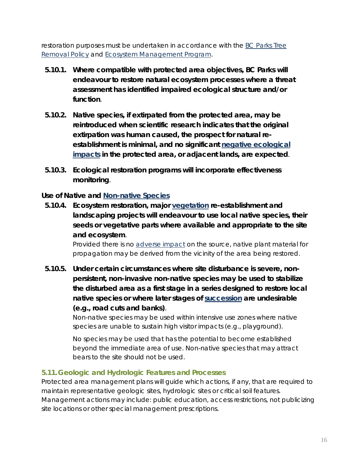restoration purposes must be undertaken in accordance with the [BC Parks Tree](http://www.env.gov.bc.ca/bcparks/conserve/cpp_p1/tree_removal_policy_for_ppa.pdf)  [Removal Policy](http://www.env.gov.bc.ca/bcparks/conserve/cpp_p1/tree_removal_policy_for_ppa.pdf) and [Ecosystem Management Program.](http://iwww.env.gov.bc.ca/ppa/planning/heritage/docs/ecomgmt_templates_intro_ouline.pdf)

- **5.10.1. Where compatible with [protected area](#page-31-0) objectives, BC Parks will endeavour to restore natural ecosystem processes where a threat assessment has identified impaired ecological structure and/or function**.
- **5.10.2. Native species, if extirpated from the protected area, may be reintroduced when scientific research indicates that the original extirpation was human caused, the prospect for natural reestablishment is minimal, and no significant [negative ecological](#page-28-2)  [impacts](#page-28-2) in the protected area, or adjacent lands, are expected**.
- **5.10.3. Ecological restoration programs will incorporate effectiveness [monitoring](#page-31-2)**.

#### <span id="page-20-0"></span>*Use of Native and [Non-native Species](#page-31-4)*

**5.10.4. Ecosystem restoration, major [vegetation](#page-33-1) re-establishment and landscaping projects will endeavour to use local native species, their seeds or vegetative parts where available and appropriate to the site and ecosystem**.

> Provided there is no [adverse impact](#page-28-2) on the source, native plant material for propagation may be derived from the vicinity of the area being restored.

**5.10.5. Under certain circumstances where site disturbance is severe, nonpersistent, non-invasive non-native species may be used to stabilize the disturbed area as a first stage in a series designed to restore local native species or where later stages of [succession](#page-32-3) are undesirable (e.g., road cuts and banks)**.

> Non-native species may be used within intensive use zones where native species are unable to sustain high visitor impacts (e.g., playground).

> No species may be used that has the potential to become established beyond the immediate area of use. Non-native species that may attract bears to the site should not be used.

#### <span id="page-20-1"></span>**5.11.Geologic and Hydrologic Features and Processes**

Protected area management plans will guide which actions, if any, that are required to maintain representative geologic sites, hydrologic sites or critical soil features. Management actions may include: public education, access restrictions, not publicizing site locations or other special management prescriptions.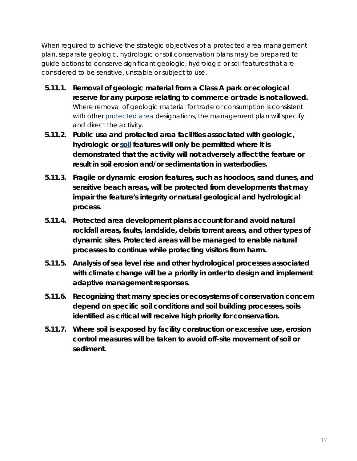When required to achieve the strategic objectives of a protected area management plan, separate geologic, hydrologic or soil conservation plans may be prepared to guide actions to conserve significant geologic, hydrologic or soil features that are considered to be sensitive, unstable or subject to use.

- **5.11.1. Removal of geologic material from a Class A park or ecological reserve for any purpose relating to commerce or trade is not allowed.** Where removal of geologic material for trade or consumption is consistent with other [protected area](#page-31-0) designations, the management plan will specify and direct the activity.
- **5.11.2. Public [use](#page-33-0) and protected area facilities associated with geologic, hydrologic or [soil](#page-32-4) features will only be permitted where it is demonstrated that the activity will not adversely affect the feature or result in soil erosion and/or sedimentation in waterbodies.**
- **5.11.3. Fragile or dynamic erosion features, such as hoodoos, sand dunes, and sensitive beach areas, will be protected from developments that may impair the feature's integrity or natural geological and hydrological process.**
- **5.11.4. Protected area development plans account for and avoid natural rockfall areas, faults, landslide, debris torrent areas, and other types of dynamic sites. Protected areas will be managed to enable natural processes to continue while protecting visitors from harm.**
- **5.11.5. Analysis of sea level rise and other hydrological processes associated with climate change will be a priority in order to design and implement adaptive management responses.**
- **5.11.6. Recognizing that many species or ecosystems of conservation concern depend on specific soil conditions and soil building processes, [soils](#page-32-4) identified as critical will receive high priority for conservation.**
- **5.11.7. Where soil is exposed by facility construction or excessive [use,](#page-33-0) erosion control measures will be taken to avoid off-site movement of soil or sediment.**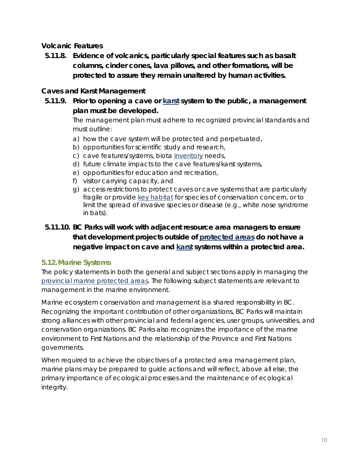#### <span id="page-22-0"></span>*Volcanic Features*

**5.11.8. Evidence of volcanics, particularly [special features](#page-32-6) such as basalt columns, cinder cones, lava pillows, and other formations, will be protected to assure they remain unaltered by human activities.**

#### <span id="page-22-1"></span>*Caves and Karst Management*

**5.11.9. Prior to opening a cave or [karst](#page-30-5) system to the public, a management plan must be developed.** 

> The management plan must adhere to recognized provincial standards and must outline:

- a) how the cave system will be protected and perpetuated,
- b) opportunities for scientific study and research,
- c) cave features/systems, biota [inventory](#page-30-4) needs,
- d) future climate impacts to the cave features/karst systems,
- e) opportunities for education and recreation,
- f) visitor carrying capacity, and
- g) access restrictions to protect caves or cave systems that are particularly fragile or provide [key habitat](#page-30-6) for species of conservation concern, or to limit the spread of invasive species or disease (e.g., white nose syndrome in bats).

# **5.11.10. BC Parks will work with adjacent resource area managers to ensure that development projects outside of [protected areas](#page-31-0) do not have a negative impact on cave and [karst](#page-30-5) systems within a protected area.**

#### <span id="page-22-2"></span>**5.12.Marine Systems**

The policy statements in both the general and subject sections apply in managing the [provincial marine protected areas.](#page-32-7) The following subject statements are relevant to management in the marine environment.

Marine ecosystem conservation and management is a shared responsibility in BC. Recognizing the important contribution of other organizations, BC Parks will maintain strong alliances with other provincial and federal agencies, user groups, universities, and conservation organizations. BC Parks also recognizes the importance of the marine environment to First Nations and the relationship of the Province and First Nations governments.

When required to achieve the objectives of a protected area management plan, marine plans may be prepared to guide actions and will reflect, above all else, the primary importance of ecological processes and the maintenance of ecological integrity.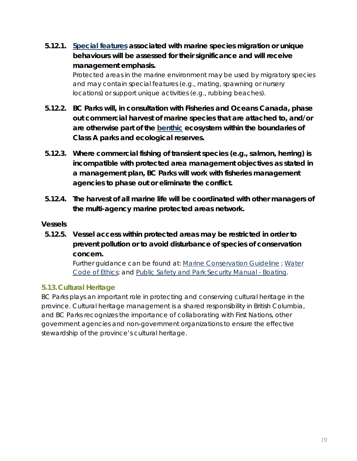**5.12.1. [Special features](#page-32-6) associated with marine species migration or unique behaviours will be assessed for their significance and will receive management emphasis.**

> Protected areas in the marine environment may be used by migratory species and may contain special features (e.g., mating, spawning or nursery locations) or support unique activities (e.g., rubbing beaches).

- **5.12.2. BC Parks will, in consultation with Fisheries and Oceans Canada, phase out commercial harvest of marine species that are attached to, and/or are otherwise part of the [benthic](#page-28-7) ecosystem within the boundaries of Class A parks and ecological reserves.**
- **5.12.3. Where commercial fishing of transient species (e.g., salmon, herring) is incompatible with [protected area](#page-31-0) management objectives as stated in a management plan, BC Parks will work with fisheries management agencies to phase out or eliminate the conflict.**
- **5.12.4. The harvest of all marine life will be coordinated with other managers of the multi-agency [marine protected areas](#page-32-7) network.**

#### <span id="page-23-0"></span>*Vessels*

**5.12.5. Vessel access within protected areas may be restricted in order to prevent pollution or to avoid disturbance of species of conservation concern.**

> Further guidance can be found at: [Marine Conservation Guideline](http://iwww.env.gov.bc.ca/ppa/planning/conservation/docs/ConservancyPlanOptionsV2.pdf) ; Water [Code of Ethics;](http://iwww.env.gov.bc.ca/ppa/planning/heritage/docs/watercodeofethicsApril_2005.pdf) and [Public Safety and Park Security Manual -](http://iwww.env.gov.bc.ca/ppa/visitorservices/docs/psps-new/psps1/boating.pdf) Boating.

#### <span id="page-23-1"></span>**5.13.Cultural Heritage**

BC Parks plays an important role in protecting and conserving cultural heritage in the province. Cultural heritage management is a shared responsibility in British Columbia, and BC Parks recognizes the importance of collaborating with First Nations, other government agencies and non-government organizations to ensure the effective stewardship of the province's cultural heritage.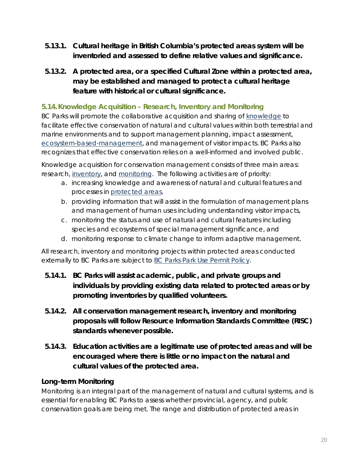- **5.13.1. Cultural heritage in British Columbia's [protected areas](#page-32-0) system will be inventoried and assessed to define relative values and significance.**
- **5.13.2. A protected area, or a specified Cultural Zone within a protected area, may be established and managed to protect a cultural heritage feature with historical or cultural significance.**

## <span id="page-24-0"></span>**5.14.Knowledge Acquisition – Research, Inventory and Monitoring**

BC Parks will promote the collaborative acquisition and sharing of [knowledge](#page-30-3) to facilitate effective conservation of natural and cultural values within both terrestrial and marine environments and to support management planning, impact assessment, [ecosystem-based-management,](#page-29-4) and management of visitor impacts. BC Parks also recognizes that effective conservation relies on a well-informed and involved public.

Knowledge acquisition for conservation management consists of three main areas: research, [inventory,](#page-30-4) and [monitoring.](#page-31-2) The following activities are of priority:

- a. increasing knowledge and awareness of natural and cultural features and processes in [protected areas,](#page-31-0)
- b. providing information that will assist in the formulation of management plans and management of human uses including understanding visitor impacts,
- c. monitoring the status and use of natural and cultural features including species and ecosystems of special management significance, and
- d. monitoring response to climate change to inform adaptive management.

All research, inventory and monitoring projects within protected areas conducted externally to BC Parks are subject to [BC Parks Park Use Permit](http://www.env.gov.bc.ca/bcparks/permits/index.html#PPolicies) Policy.

- **5.14.1. BC Parks will assist academic, public, and private groups and individuals by providing existing data related to protected areas or by promoting inventories by qualified volunteers.**
- **5.14.2. All conservation management research, inventory and monitoring proposals will follow Resource Information Standards Committee (RISC) standards whenever possible.**
- **5.14.3. Education activities are a legitimate [use](#page-33-0) of protected areas and will be encouraged where there is little or no impact on the natural and cultural values of the protected area.**

#### <span id="page-24-1"></span>*Long-term Monitoring*

Monitoring is an integral part of the management of natural and cultural systems, and is essential for enabling BC Parks to assess whether provincial, agency, and public conservation goals are being met. The range and distribution of protected areas in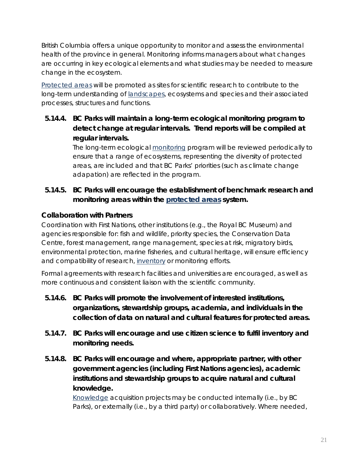British Columbia offers a unique opportunity to monitor and assess the environmental health of the province in general. Monitoring informs managers about what changes are occurring in key ecological elements and what studies may be needed to measure change in the ecosystem.

[Protected areas](#page-31-0) will be promoted as sites for scientific research to contribute to the long-term understanding of [landscapes,](#page-30-2) ecosystems and species and their associated processes, structures and functions.

**5.14.4. BC Parks will maintain a long-term ecological monitoring program to detect change at regular intervals. Trend reports will be compiled at regular intervals.**

> The long-term ecological [monitoring](#page-31-2) program will be reviewed periodically to ensure that a range of ecosystems, representing the diversity of protected areas, are included and that BC Parks' priorities (such as climate change adapation) are reflected in the program.

# **5.14.5. BC Parks will encourage the establishment of benchmark research and monitoring areas within the [protected areas](#page-32-0) system.**

#### <span id="page-25-0"></span>*Collaboration with Partners*

Coordination with First Nations, other institutions (e.g., the Royal BC Museum) and agencies responsible for: fish and wildlife, priority species, the Conservation Data Centre, forest management, range management, species at risk, migratory birds, environmental protection, marine fisheries, and cultural heritage, will ensure efficiency and compatibility of research, [inventory](#page-30-4) or monitoring efforts.

Formal agreements with research facilities and universities are encouraged, as well as more continuous and consistent liaison with the scientific community.

- **5.14.6. BC Parks will promote the involvement of interested institutions, organizations, stewardship groups, academia, and individuals in the collection of data on natural and cultural features for protected areas.**
- **5.14.7. BC Parks will encourage and use [citizen science](#page-28-8) to fulfil [inventory](#page-30-4) and monitoring needs.**
- **5.14.8. BC Parks will encourage and where, appropriate partner, with other government agencies (including First Nations agencies), academic institutions and stewardship groups to acquire natural and cultural knowledge.**

[Knowledge](#page-30-3) acquisition projects may be conducted internally (i.e., by BC Parks), or externally (i.e., by a third party) or collaboratively. Where needed,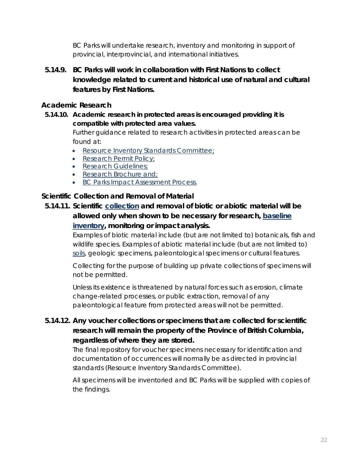BC Parks will undertake research, inventory and monitoring in support of provincial, interprovincial, and international initiatives.

**5.14.9. BC Parks will work in collaboration with First Nations to collect knowledge related to current and historical [use](#page-33-0) of natural and cultural features by First Nations.**

#### <span id="page-26-0"></span>*Academic Research*

**5.14.10. Academic research in protected areas is encouraged providing it is compatible with protected area values.** 

> Further guidance related to research activities in protected areas can be found at:

- [Resource Inventory Standards Committee;](http://www.ilmb.gov.bc.ca/risc/index.html)
- [Research Permit Policy;](http://www.env.gov.bc.ca/bcparks/permits/pdfs/requirement_for_obtaining_research_permits.pdf)
- [Research Guidelines;](http://iwww.env.gov.bc.ca/ppa/planning/heritage/docs/research_activities_guidelines_draft.pdf)
- [Research Brochure](http://www.env.gov.bc.ca/bcparks/conserve/research_guide.pdf) and;
- [BC Parks Impact Assessment Process.](http://www.env.gov.bc.ca/bcparks/conserve/impact/impact.html)

#### <span id="page-26-1"></span>*Scientific Collection and Removal of Material*

**5.14.11. Scientific [collection](#page-28-9) and removal of biotic or abiotic material will be allowed only when shown to be necessary for research, [baseline](#page-28-5)  [inventory,](#page-28-5) monitoring or impact analysis.** 

> Examples of biotic material include (but are not limited to) botanicals, fish and wildlife species. Examples of abiotic material include (but are not limited to) [soils,](#page-32-4) geologic specimens, paleontological specimens or cultural features.

Collecting for the purpose of building up private collections of specimens will not be permitted.

Unless its existence is threatened by natural forces such as erosion, climate change-related processes, or public extraction, removal of any paleontological feature from protected areas will not be permitted.

# **5.14.12. Any voucher collections or specimens that are collected for scientific research will remain the property of the Province of British Columbia, regardless of where they are stored.**

The final repository for voucher specimens necessary for identification and documentation of occurrences will normally be as directed in provincial standards [\(Resource Inventory Standards Committee\)](http://www.ilmb.gov.bc.ca/risc/index.html).

All specimens will be inventoried and BC Parks will be supplied with copies of the findings.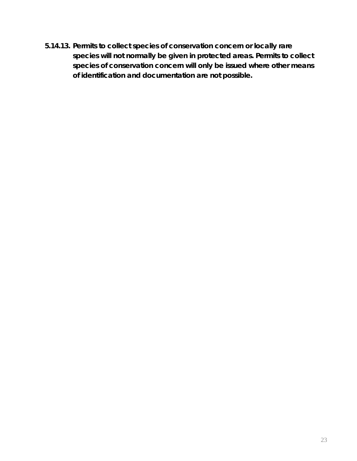**5.14.13. Permits to collect species of conservation concern or locally rare species will not normally be given in protected areas. Permits to collect species of conservation concern will only be issued where other means of identification and documentation are not possible.**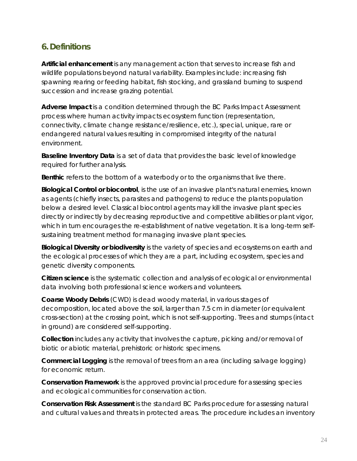# <span id="page-28-0"></span>**6. Definitions**

<span id="page-28-4"></span>**Artificial enhancement** is any management action that serves to increase fish and wildlife populations beyond natural variability. Examples include: increasing fish spawning rearing or feeding habitat, fish stocking, and grassland burning to suspend succession and increase grazing potential.

<span id="page-28-2"></span>**Adverse Impact** is a condition determined through the BC Parks Impact Assessment process where human activity impacts ecosystem function (representation, connectivity, climate change resistance/resilience, etc.), special, unique, rare or endangered natural values resulting in compromised integrity of the natural environment.

<span id="page-28-5"></span>**Baseline Inventory Data** is a set of data that provides the basic level of knowledge required for further analysis.

<span id="page-28-7"></span>**Benthic** refers to the bottom of a waterbody or to the organisms that live there.

**Biological Control or biocontrol**, is the use of an invasive plant's natural enemies, known as agents (chiefly insects, parasites and pathogens) to reduce the plants population below a desired level. Classical biocontrol agents may kill the invasive plant species directly or indirectly by decreasing reproductive and competitive abilities or plant vigor, which in turn encourages the re-establishment of native vegetation. It is a long-term selfsustaining treatment method for managing invasive plant species.

<span id="page-28-1"></span>**Biological Diversity or biodiversity** is the variety of species and ecosystems on earth and the ecological processes of which they are a part, including ecosystem, species and genetic diversity components.

<span id="page-28-8"></span>**Citizen science** is the systematic collection and analysis of ecological or environmental data involving both professional science workers and volunteers.

<span id="page-28-6"></span>**Coarse Woody Debris** (CWD) is dead woody material, in various stages of decomposition, located above the soil, larger than 7.5 cm in diameter (or equivalent cross-section) at the crossing point, which is not self-supporting. Trees and stumps (intact in ground) are considered self-supporting.

<span id="page-28-9"></span>**Collection** includes any activity that involves the capture, picking and/or removal of biotic or abiotic material, prehistoric or historic specimens.

**Commercial Logging** is the removal of trees from an area (including salvage logging) for economic return.

**Conservation Framework** is the approved provincial procedure for assessing species and ecological communities for conservation action.

<span id="page-28-3"></span>**Conservation Risk Assessment** is the standard BC Parks procedure for assessing natural and cultural values and threats in protected areas. The procedure includes an inventory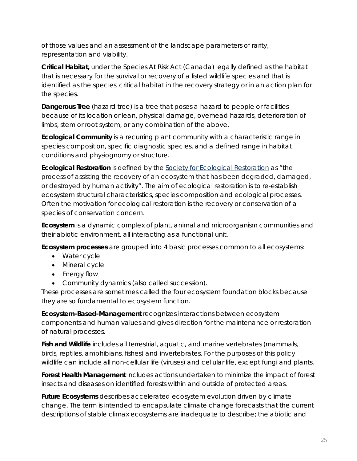of those values and an assessment of the landscape parameters of rarity, representation and viability.

**Critical Habitat,** under the *Species At Risk Act* (Canada) legally defined as the habitat that is necessary for the survival or recovery of a listed wildlife species and that is identified as the species' critical habitat in the recovery strategy or in an action plan for the species.

**Dangerous Tree** (hazard tree) is a tree that poses a hazard to people or facilities because of its location or lean, physical damage, overhead hazards, deterioration of limbs, stem or root system, or any combination of the above.

**Ecological Community** is a recurring plant community with a characteristic range in species composition, specific diagnostic species, and a defined range in habitat conditions and physiognomy or structure.

<span id="page-29-3"></span>**Ecological Restoration** is defined by the [Society for Ecological Restoration](http://www.ser.org/) as "the process of assisting the recovery of an ecosystem that has been degraded, damaged, or destroyed by human activity". The aim of ecological restoration is to re-establish ecosystem structural characteristics, species composition and ecological processes. Often the motivation for ecological restoration is the recovery or conservation of a species of conservation concern.

<span id="page-29-1"></span>**Ecosystem** is a dynamic complex of plant, animal and microorganism communities and their abiotic environment, all interacting as a functional unit.

<span id="page-29-2"></span>**Ecosystem processes** are grouped into 4 basic processes common to all ecosystems:

- Water cycle
- Mineral cycle
- Energy flow
- Community dynamics (also called succession).

These processes are sometimes called the four ecosystem foundation blocks because they are so fundamental to ecosystem function.

<span id="page-29-4"></span>**Ecosystem-Based-Management** recognizes interactions between ecosystem components and human values and gives direction for the maintenance or restoration of natural processes.

<span id="page-29-0"></span>**Fish and Wildlife** includes all terrestrial, aquatic, and marine vertebrates (mammals, birds, reptiles, amphibians, fishes) and invertebrates. For the purposes of this policy wildlife can include all non-cellular life (viruses) and cellular life, except fungi and plants.

<span id="page-29-5"></span>**Forest Health Management** includes actions undertaken to minimize the impact of forest insects and diseases on identified forests within and outside of protected areas.

**Future Ecosystems** describes accelerated ecosystem evolution driven by climate change. The term is intended to encapsulate climate change forecasts that the current descriptions of stable climax ecosystems are inadequate to describe; the abiotic and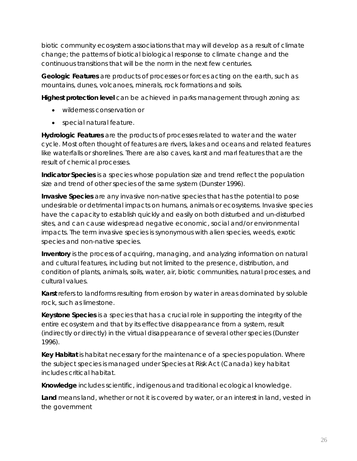biotic community ecosystem associations that may will develop as a result of climate change; the patterns of biotical biological response to climate change and the continuous transitions that will be the norm in the next few centuries.

<span id="page-30-0"></span>**Geologic Features** are products of processes or forces acting on the earth, such as mountains, dunes, volcanoes, minerals, rock formations and soils.

<span id="page-30-1"></span>**Highest protection level** can be achieved in parks management through zoning as:

- wilderness conservation or
- special natural feature.

**Hydrologic Features** are the products of processes related to water and the water cycle. Most often thought of features are rivers, lakes and oceans and related features like waterfalls or shorelines. There are also caves, karst and marl features that are the result of chemical processes.

**Indicator Species** is a species whose population size and trend reflect the population size and trend of other species of the same system (Dunster 1996).

**Invasive Species** are any invasive non-native species that has the potential to pose undesirable or detrimental impacts on humans, animals or ecosystems. Invasive species have the capacity to establish quickly and easily on both disturbed and un-disturbed sites, and can cause widespread negative economic, social and/or environmental impacts. The term invasive species is synonymous with alien species, weeds, exotic species and non-native species.

<span id="page-30-4"></span>**Inventory** is the process of acquiring, managing, and analyzing information on natural and cultural features, including but not limited to the presence, distribution, and condition of plants, animals, soils, water, air, biotic communities, natural processes, and cultural values.

<span id="page-30-5"></span>**Karst** refers to landforms resulting from erosion by water in areas dominated by soluble rock, such as limestone.

**Keystone Species** is a species that has a crucial role in supporting the integrity of the entire ecosystem and that by its effective disappearance from a system, result (indirectly or directly) in the virtual disappearance of several other species (Dunster 1996).

<span id="page-30-6"></span>**Key Habitat** is habitat necessary for the maintenance of a species population. Where the subject species is managed under *Species at Risk Act* (Canada) key habitat includes critical habitat.

<span id="page-30-3"></span>**Knowledge** includes scientific, indigenous and traditional ecological knowledge.

<span id="page-30-2"></span>**Land** means land, whether or not it is covered by water, or an interest in land, vested in the government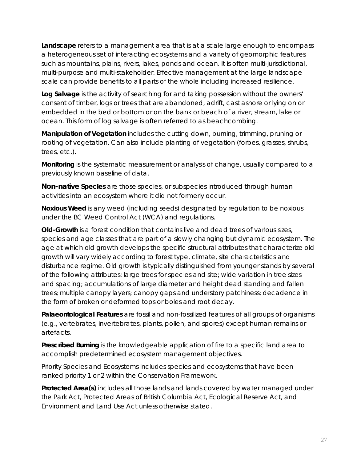**Landscape** refers to a management area that is at a scale large enough to encompass a heterogeneous set of interacting ecosystems and a variety of geomorphic features such as mountains, plains, rivers, lakes, ponds and ocean. It is often multi-jurisdictional, multi-purpose and multi-stakeholder. Effective management at the large landscape scale can provide benefits to all parts of the whole including increased resilience.

**Log Salvage** is the activity of searching for and taking possession without the owners' consent of timber, logs or trees that are abandoned, adrift, cast ashore or lying on or embedded in the bed or bottom or on the bank or beach of a river, stream, lake or ocean. This form of log salvage is often referred to as beachcombing.

**Manipulation of Vegetation** includes the cutting down, burning, trimming, pruning or rooting of vegetation. Can also include planting of vegetation (forbes, grasses, shrubs, trees, etc.).

<span id="page-31-2"></span>**Monitoring** is the systematic measurement or analysis of change, usually compared to a previously known baseline of data.

<span id="page-31-4"></span>**Non-native Species** are those species, or subspecies introduced through human activities into an ecosystem where it did not formerly occur.

<span id="page-31-5"></span>**Noxious Weed** is any weed (including seeds) designated by regulation to be noxious under the BC *Weed Control Act* (*WCA*) and regulations.

<span id="page-31-3"></span>**Old-Growth** is a forest condition that contains live and dead trees of various sizes, species and age classes that are part of a slowly changing but dynamic ecosystem. The age at which old growth develops the specific structural attributes that characterize old growth will vary widely according to forest type, climate, site characteristics and disturbance regime. Old growth is typically distinguished from younger stands by several of the following attributes: large trees for species and site; wide variation in tree sizes and spacing; accumulations of large diameter and height dead standing and fallen trees; multiple canopy layers; canopy gaps and understory patchiness; decadence in the form of broken or deformed tops or boles and root decay.

<span id="page-31-1"></span>**Palaeontological Features** are fossil and non-fossilized features of all groups of organisms (e.g., vertebrates, invertebrates, plants, pollen, and spores) except human remains or artefacts.

<span id="page-31-6"></span>**Prescribed Burning** is the knowledgeable application of fire to a specific land area to accomplish predetermined ecosystem management objectives.

Priority Species and Ecosystems includes species and ecosystems that have been ranked priority 1 or 2 within the Conservation Framework.

<span id="page-31-0"></span>**Protected Area(s)** includes all those lands and lands covered by water managed under the *Park Act, Protected Areas of British Columbia Act, Ecological Reserve Act*, and *Environment and Land Use Act* unless otherwise stated.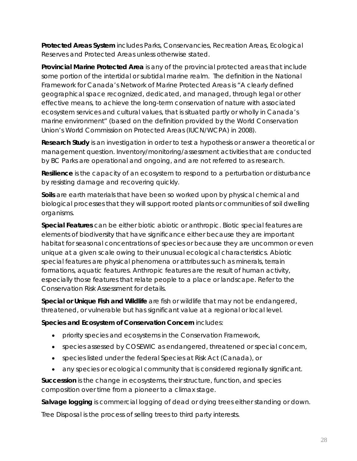<span id="page-32-0"></span>**Protected Areas System** includes Parks, Conservancies, Recreation Areas, Ecological Reserves and Protected Areas unless otherwise stated.

<span id="page-32-7"></span>**Provincial Marine Protected Area** is any of the provincial protected areas that include some portion of the intertidal or subtidal marine realm. The definition in the *National Framework for Canada's Network of Marine Protected Areas* is "A clearly defined geographical space recognized, dedicated, and managed, through legal or other effective means, to achieve the long-term conservation of nature with associated ecosystem services and cultural values, that is situated partly or wholly in Canada's marine environment" (based on the definition provided by the World Conservation Union's World Commission on Protected Areas (IUCN/WCPA) in 2008).

**Research Study** is an investigation in order to test a hypothesis or answer a theoretical or management question. Inventory/monitoring/assessment activities that are conducted by BC Parks are operational and ongoing, and are not referred to as research.

<span id="page-32-1"></span>**Resilience** is the capacity of an ecosystem to respond to a perturbation or disturbance by resisting damage and recovering quickly.

<span id="page-32-4"></span>**Soils** are earth materials that have been so worked upon by physical chemical and biological processes that they will support rooted plants or communities of soil dwelling organisms.

<span id="page-32-6"></span>**Special Features** can be either biotic abiotic or anthropic. Biotic special features are elements of biodiversity that have significance either because they are important habitat for seasonal concentrations of species or because they are uncommon or even unique at a given scale owing to their unusual ecological characteristics. Abiotic special features are physical phenomena or attributes such as minerals, terrain formations, aquatic features. Anthropic features are the result of human activity, especially those features that relate people to a place or landscape. Refer to the Conservation Risk Assessment for details.

**Special or Unique Fish and Wildlife** are fish or wildlife that may not be endangered, threatened, or vulnerable but has significant value at a regional or local level.

<span id="page-32-2"></span>**Species and Ecosystem of Conservation Concern** includes:

- priority species and ecosystems in the Conservation Framework,
- species assessed by COSEWIC as endangered, threatened or special concern,
- species listed under the federal *Species at Risk Act* (Canada), or
- any species or ecological community that is considered regionally significant.

<span id="page-32-3"></span>**Succession** is the change in ecosystems, their structure, function, and species composition over time from a pioneer to a climax stage.

<span id="page-32-5"></span>**Salvage logging** is commercial logging of dead or dying trees either standing or down.

Tree Disposal is the process of selling trees to third party interests.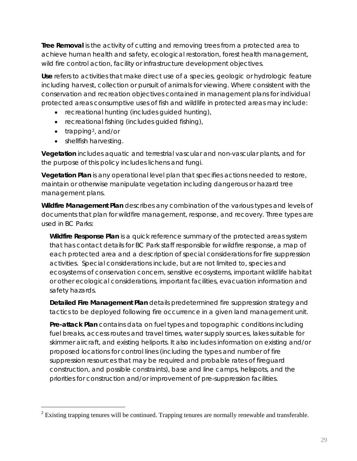<span id="page-33-3"></span>**Tree Removal** is the activity of cutting and removing trees from a protected area to achieve human health and safety, ecological restoration, forest health management, wild fire control action, facility or infrastructure development objectives.

<span id="page-33-0"></span>**Use** refers to activities that make direct use of a species, geologic or hydrologic feature including harvest, collection or pursuit of animals for viewing. Where consistent with the conservation and recreation objectives contained in management plans for individual protected areas consumptive uses of fish and wildlife in protected areas may include:

- recreational hunting (includes guided hunting),
- recreational fishing (includes guided fishing),
- trapping<sup>2</sup>, and/or
- shellfish harvesting.

<span id="page-33-1"></span>**Vegetation** includes aquatic and terrestrial vascular and non-vascular plants, and for the purpose of this policy includes lichens and fungi.

**Vegetation Plan** is any operational level plan that specifies actions needed to restore, maintain or otherwise manipulate vegetation including dangerous or hazard tree management plans.

<span id="page-33-2"></span>**Wildfire Management Plan** describes any combination of the various types and levels of documents that plan for wildfire management, response, and recovery. Three types are used in BC Parks:

**Wildfire Response Plan** is a quick reference summary of the protected areas system that has contact details for BC Park staff responsible for wildfire response, a map of each protected area and a description of special considerations for fire suppression activities. Special considerations include, but are not limited to, species and ecosystems of conservation concern, sensitive ecosystems, important wildlife habitat or other ecological considerations, important facilities, evacuation information and safety hazards.

**Detailed Fire Management Plan** details predetermined fire suppression strategy and tactics to be deployed following fire occurrence in a given land management unit.

**Pre-attack Plan** contains data on fuel types and topographic conditions including fuel breaks, access routes and travel times, water supply sources, lakes suitable for skimmer aircraft, and existing heliports. It also includes information on existing and/or proposed locations for control lines (including the types and number of fire suppression resources that may be required and probable rates of fireguard construction, and possible constraints), base and line camps, helispots, and the priorities for construction and/or improvement of pre-suppression facilities.

<span id="page-33-4"></span> $2$  Existing trapping tenures will be continued. Trapping tenures are normally renewable and transferable.